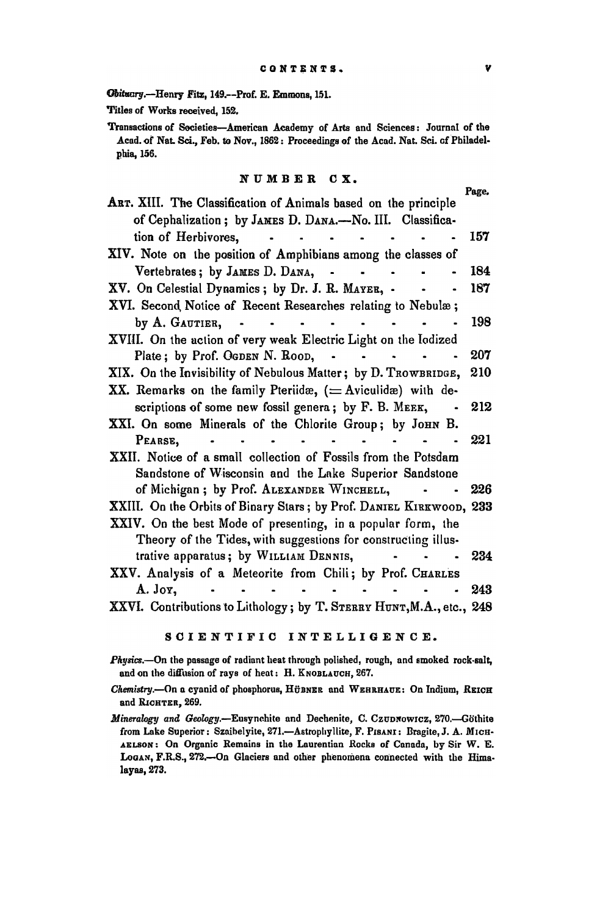Obituary.--Henry Fitz, 149.--Prof. E. Emmons, 151.

Titles of Works received, 152.

Transactions of Societies-American Academy of Arta and Sciences: Journal of the Acad. of Nat. Sci., Feb. to Nov., 1862: Proceedings of the Acad. Nat. Sci. of Philadelphia, 156.

## NUMBER CX.

Page.

| ART. XIII. The Classification of Animals based on the principle                                                                                                                                                                                                                                                                                                                                                                                                             |     |
|-----------------------------------------------------------------------------------------------------------------------------------------------------------------------------------------------------------------------------------------------------------------------------------------------------------------------------------------------------------------------------------------------------------------------------------------------------------------------------|-----|
| of Cephalization; by JAMES D. DANA.-No. III. Classifica-                                                                                                                                                                                                                                                                                                                                                                                                                    |     |
| tion of Herbivores,<br>$\mathbf{a} = \mathbf{a} + \mathbf{a} + \mathbf{b} + \mathbf{b} + \mathbf{c} + \mathbf{c} + \mathbf{c} + \mathbf{c} + \mathbf{c} + \mathbf{c} + \mathbf{c} + \mathbf{c} + \mathbf{c} + \mathbf{c} + \mathbf{c} + \mathbf{c} + \mathbf{c} + \mathbf{c} + \mathbf{c} + \mathbf{c} + \mathbf{c} + \mathbf{c} + \mathbf{c} + \mathbf{c} + \mathbf{c} + \mathbf{c} + \mathbf{c} + \mathbf{c} + \mathbf{c} + \mathbf{c} + \mathbf$<br>$\ddot{\phantom{a}}$ | 157 |
| XIV. Note on the position of Amphibians among the classes of                                                                                                                                                                                                                                                                                                                                                                                                                |     |
| Vertebrates; by JAMES D. DANA,<br>$\ddot{\phantom{a}}$                                                                                                                                                                                                                                                                                                                                                                                                                      | 184 |
| XV. On Celestial Dynamics; by Dr. J. R. MAYER, -                                                                                                                                                                                                                                                                                                                                                                                                                            | 187 |
| XVI. Second Notice of Recent Researches relating to Nebulæ;                                                                                                                                                                                                                                                                                                                                                                                                                 |     |
| by A. GAUTIER,                                                                                                                                                                                                                                                                                                                                                                                                                                                              | 198 |
| XVIII. On the action of very weak Electric Light on the Iodized                                                                                                                                                                                                                                                                                                                                                                                                             |     |
| Plate; by Prof. OGDEN N. ROOD,                                                                                                                                                                                                                                                                                                                                                                                                                                              | 207 |
| XIX. On the Invisibility of Nebulous Matter; by D. TROWBRIDGE,                                                                                                                                                                                                                                                                                                                                                                                                              | 210 |
| XX. Remarks on the family Pteriidæ, $(=\text{Aviculide})$ with de-                                                                                                                                                                                                                                                                                                                                                                                                          |     |
| scriptions of some new fossil genera; by F. B. MEEK,                                                                                                                                                                                                                                                                                                                                                                                                                        | 212 |
| XXI. On some Minerals of the Chlorite Group; by JOHN B.                                                                                                                                                                                                                                                                                                                                                                                                                     |     |
| PEARSE.                                                                                                                                                                                                                                                                                                                                                                                                                                                                     | 221 |
| XXII. Notice of a small collection of Fossils from the Potsdam                                                                                                                                                                                                                                                                                                                                                                                                              |     |
| Sandstone of Wisconsin and the Lake Superior Sandstone                                                                                                                                                                                                                                                                                                                                                                                                                      |     |
| of Michigan; by Prof. ALEXANDER WINCHELL,                                                                                                                                                                                                                                                                                                                                                                                                                                   | 226 |
| XXIII. On the Orbits of Binary Stars; by Prof. DANIEL KIRKWOOD, 233                                                                                                                                                                                                                                                                                                                                                                                                         |     |
| XXIV. On the best Mode of presenting, in a popular form, the                                                                                                                                                                                                                                                                                                                                                                                                                |     |
| Theory of the Tides, with suggestions for constructing illus-                                                                                                                                                                                                                                                                                                                                                                                                               |     |
| trative apparatus; by WILLIAM DENNIS,                                                                                                                                                                                                                                                                                                                                                                                                                                       | 234 |
| XXV. Analysis of a Meteorite from Chili; by Prof. CHARLES                                                                                                                                                                                                                                                                                                                                                                                                                   |     |
| A. Joy,                                                                                                                                                                                                                                                                                                                                                                                                                                                                     | 243 |
| XXVI. Contributions to Lithology; by T. STERRY HUNT, M.A., etc., 248                                                                                                                                                                                                                                                                                                                                                                                                        |     |

## SOIENTIFIC INTELLIGENCE.

Physics.-On the passage of radiant heat through polished, rough, and smoked rock-salt, and on the diffusion of rays of heat: H. KNOBLAUCH, 267.

- *Chemistry.*-On a cyanid of phosphorus, HÜBNER and WERRHAUE: On Indium, REICH and RlCHTER, 269.
- *Mineralogy and Geology.*-Eusynchite and Dechenite, C. CzuDNowICZ, 270.-Göthite from Lake Superior: Szaihelyite, 271.-Astrophyllite, F. PISANI: Bragite, J. A. MICH-AELSON: On Organic Remains in the Laurentian Rocks of Canada, by Sir W. E. LoGAN, F.R.S., 272.-0n Glaciers nnd other phenomena connected with the Rima· layas, 273.